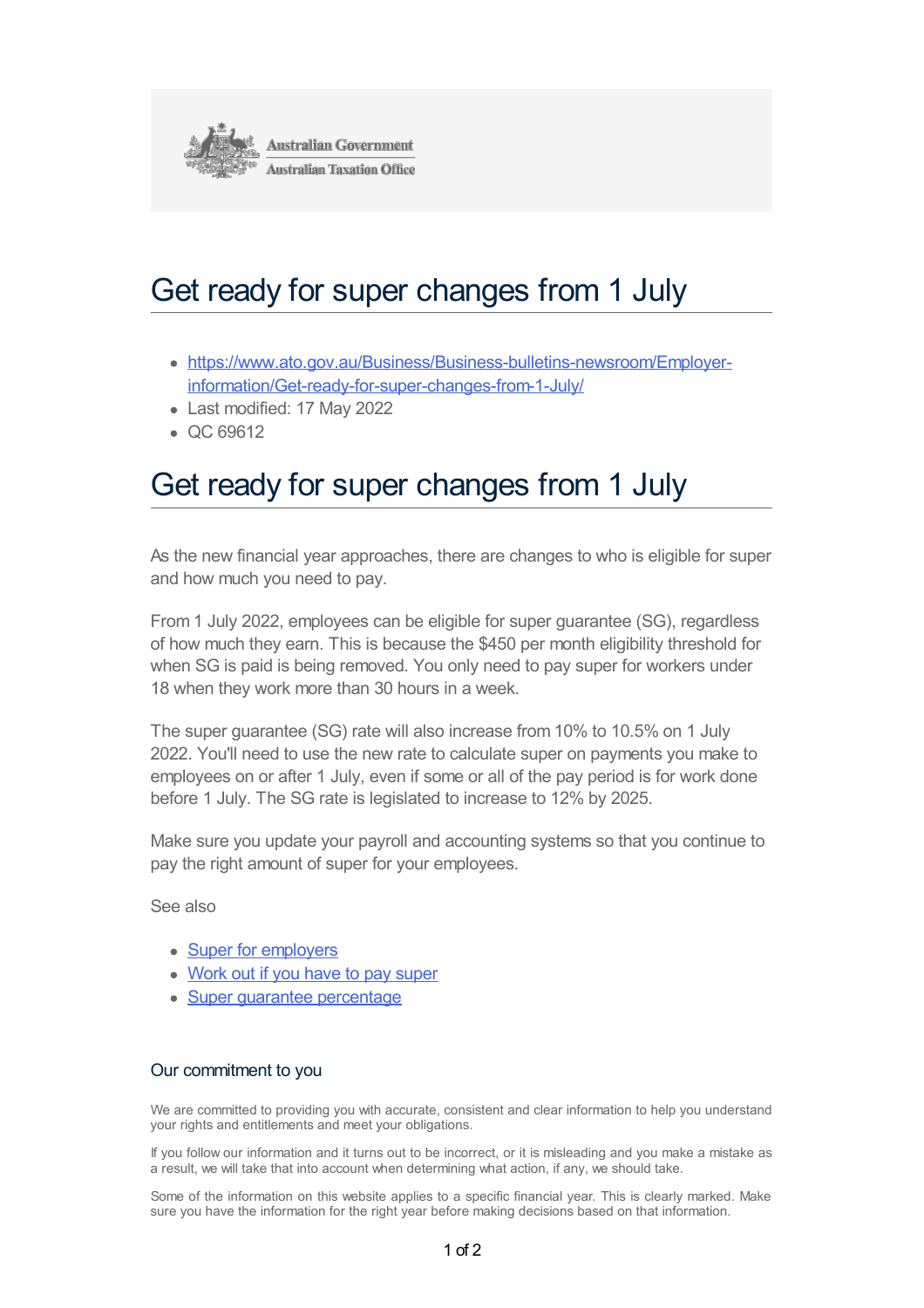

## Get ready for super changes from 1 July

- https://www.ato.gov.au/Business/Business-bulletins-newsroom/Employerinformation/Get-ready-for-super-changes-from-1-July/
- Last modified: 17 May 2022
- QC 69612

## Get ready for super changes from 1 July

As the new financial year approaches, there are changes to who is eligible for super and how much you need to pay.

From 1 July 2022, employees can be eligible for super guarantee (SG), regardless of how much they earn. This is because the \$450 per month eligibility threshold for when SG is paid is being removed. You only need to pay super for workers under 18 when they work more than 30 hours in a week.

The super guarantee (SG) rate will also increase from 10% to 10.5% on 1 July 2022. You'll need to use the new rate to calculate super on payments you make to employees on or after 1 July, even if some or all of the pay period is for work done before 1 July. The SG rate is legislated to increase to 12% by 2025.

Make sure you update your payroll and accounting systems so that you continue to pay the right amount of super for your employees.

See also

- Super for employers
- Work out if you have to pay super
- Super quarantee percentage

## Our commitment to you

We are committed to providing you with accurate, consistent and clear information to help you understand your rights and entitlements and meet your obligations.

If you follow our information and it turns out to be incorrect, or it is misleading and you make a mistake as a result, we will take that into account when determining what action, if any, we should take.

Some of the information on this website applies to a specific financial year. This is clearly marked. Make sure you have the information for the right year before making decisions based on that information.